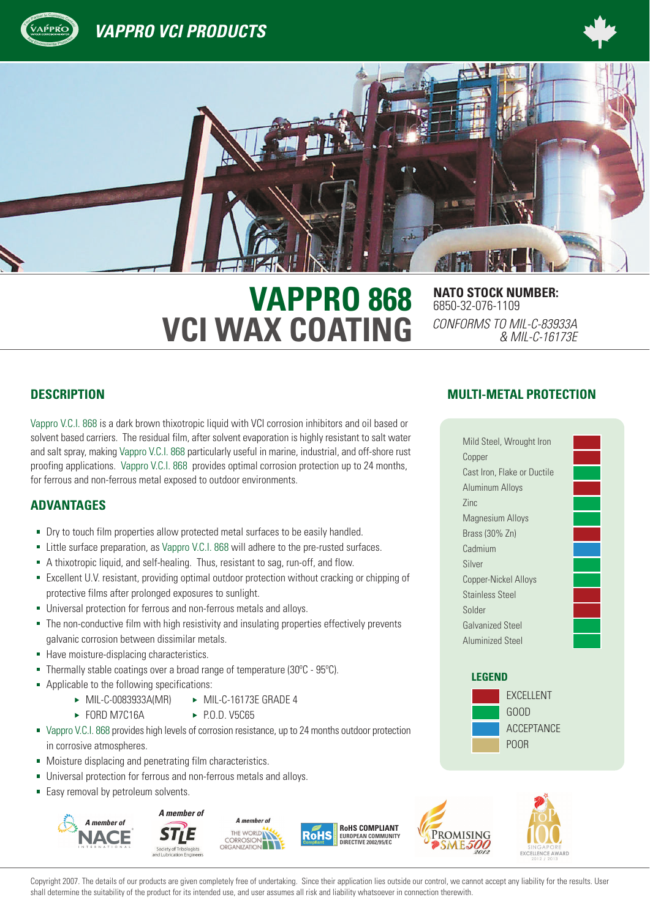

**VAPPRO VCI PRODUCTS** 





# **VAPPRO 868** NATO STOCK NUMBER: **VCI WAX COATING**

6850-32-076-1109 *CONFORMS TO MIL-C-83933A & MIL-C-16173E*

Vappro V.C.I. 868 is a dark brown thixotropic liquid with VCI corrosion inhibitors and oil based or solvent based carriers. The residual film, after solvent evaporation is highly resistant to salt water and salt spray, making Vappro V.C.I. 868 particularly useful in marine, industrial, and off-shore rust proofing applications. Vappro V.C.I. 868 provides optimal corrosion protection up to 24 months, for ferrous and non-ferrous metal exposed to outdoor environments.

# **ADVANTAGES**

- Dry to touch film properties allow protected metal surfaces to be easily handled.
- Little surface preparation, as Vappro V.C.I. 868 will adhere to the pre-rusted surfaces.
- A thixotropic liquid, and self-healing. Thus, resistant to sag, run-off, and flow.
- Excellent U.V. resistant, providing optimal outdoor protection without cracking or chipping of protective films after prolonged exposures to sunlight.
- Universal protection for ferrous and non-ferrous metals and alloys.
- The non-conductive film with high resistivity and insulating properties effectively prevents ×. galvanic corrosion between dissimilar metals.
- Have moisture-displacing characteristics.
- Thermally stable coatings over a broad range of temperature (30ºC 95ºC). Ì.
- Applicable to the following specifications:
	- $\triangleright$  MIL-C-0083933A(MR)  $\triangleright$  MIL-C-16173E GRADE 4
	- $\triangleright$  FORD M7C16A  $\triangleright$  P.O.D. V5C65
- Vappro V.C.I. 868 provides high levels of corrosion resistance, up to 24 months outdoor protection in corrosive atmospheres.
- Moisture displacing and penetrating film characteristics.
- Universal protection for ferrous and non-ferrous metals and alloys.
- **Easy removal by petroleum solvents.**



# **DESCRIPTION MULTI-METAL PROTECTION**

| Mild Steel, Wrought Iron    |
|-----------------------------|
| Copper                      |
| Cast Iron, Flake or Ductile |
| Aluminum Alloys             |
| 7inc                        |
| <b>Magnesium Alloys</b>     |
| Brass (30% Zn)              |
| Cadmium                     |
| Silver                      |
| <b>Copper-Nickel Alloys</b> |
| <b>Stainless Steel</b>      |
| Solder                      |
| <b>Galvanized Steel</b>     |
| <b>Aluminized Steel</b>     |

### **LEGEND**



Copyright 2007. The details of our products are given completely free of undertaking. Since their application lies outside our control, we cannot accept any liability for the results. User shall determine the suitability of the product for its intended use, and user assumes all risk and liability whatsoever in connection therewith.